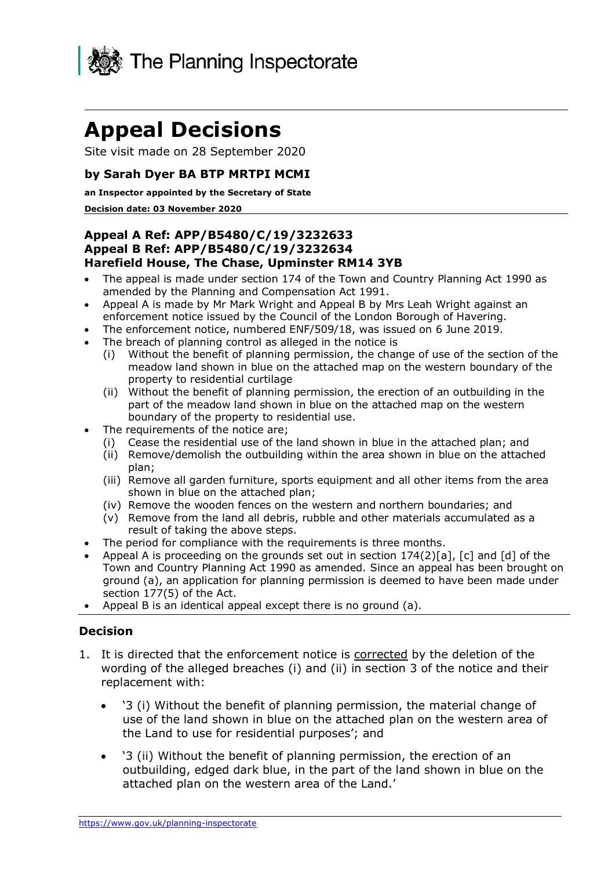

# **Appeal Decisions**

Site visit made on 28 September 2020

## **by Sarah Dyer BA BTP MRTPI MCMI**

#### **an Inspector appointed by the Secretary of State**

#### **Decision date: 03 November 2020**

#### **Appeal B Ref: APP/B5480/C/19/3232634 Harefield House, The Chase, Upminster RM14 3YB Appeal A Ref: APP/B5480/C/19/3232633**

- • The appeal is made under section 174 of the Town and Country Planning Act 1990 as amended by the Planning and Compensation Act 1991.
- • Appeal A is made by Mr Mark Wright and Appeal B by Mrs Leah Wright against an enforcement notice issued by the Council of the London Borough of Havering.
- The enforcement notice, numbered ENF/509/18, was issued on 6 June 2019.
- • The breach of planning control as alleged in the notice is
	- (i) Without the benefit of planning permission, the change of use of the section of the meadow land shown in blue on the attached map on the western boundary of the property to residential curtilage
	- (ii) Without the benefit of planning permission, the erection of an outbuilding in the part of the meadow land shown in blue on the attached map on the western boundary of the property to residential use.
- • The requirements of the notice are;
	- (i) Cease the residential use of the land shown in blue in the attached plan; and
	- (ii) Remove/demolish the outbuilding within the area shown in blue on the attached plan;
	- (iii) Remove all garden furniture, sports equipment and all other items from the area shown in blue on the attached plan;
	- (iv) Remove the wooden fences on the western and northern boundaries; and
	- (v) Remove from the land all debris, rubble and other materials accumulated as a result of taking the above steps.
- The period for compliance with the requirements is three months.
- • Appeal A is proceeding on the grounds set out in section 174(2)[a], [c] and [d] of the Town and Country Planning Act 1990 as amended. Since an appeal has been brought on ground (a), an application for planning permission is deemed to have been made under section 177(5) of the Act.
- Appeal B is an identical appeal except there is no ground (a).

#### **Decision**

- 1. It is directed that the enforcement notice is corrected by the deletion of the wording of the alleged breaches (i) and (ii) in section 3 of the notice and their replacement with:
	- • '3 (i) Without the benefit of planning permission, the material change of use of the land shown in blue on the attached plan on the western area of the Land to use for residential purposes'; and
	- • '3 (ii) Without the benefit of planning permission, the erection of an outbuilding, edged dark blue, in the part of the land shown in blue on the attached plan on the western area of the Land.'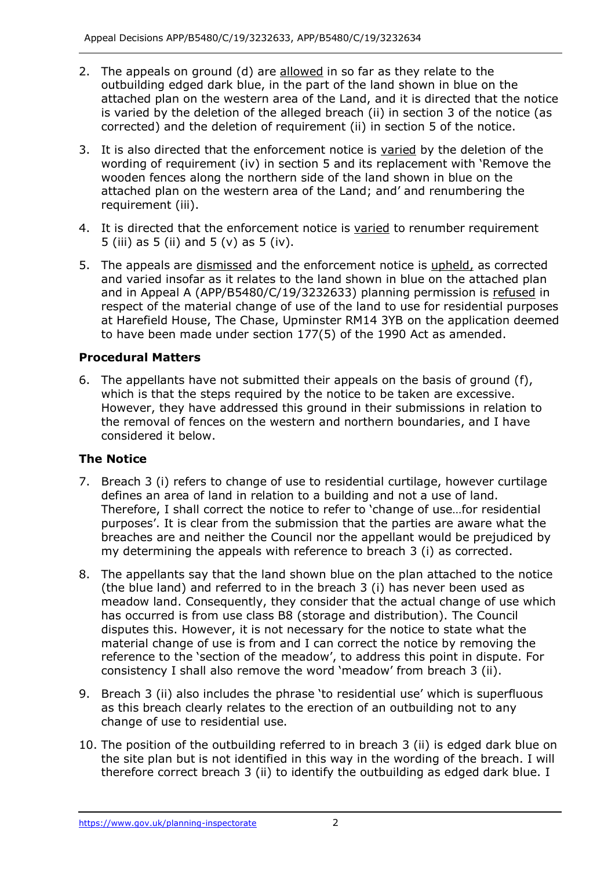- 2. The appeals on ground (d) are allowed in so far as they relate to the outbuilding edged dark blue, in the part of the land shown in blue on the attached plan on the western area of the Land, and it is directed that the notice is varied by the deletion of the alleged breach (ii) in section 3 of the notice (as corrected) and the deletion of requirement (ii) in section 5 of the notice.
- 3. It is also directed that the enforcement notice is varied by the deletion of the wording of requirement (iv) in section 5 and its replacement with 'Remove the wooden fences along the northern side of the land shown in blue on the attached plan on the western area of the Land; and' and renumbering the requirement (iii).
- 4. It is directed that the enforcement notice is varied to renumber requirement 5 (iii) as 5 (ii) and 5 (v) as 5 (iv).
- 5. The appeals are dismissed and the enforcement notice is upheld, as corrected and varied insofar as it relates to the land shown in blue on the attached plan and in Appeal A (APP/B5480/C/19/3232633) planning permission is refused in respect of the material change of use of the land to use for residential purposes at Harefield House, The Chase, Upminster RM14 3YB on the application deemed to have been made under section 177(5) of the 1990 Act as amended.

# **Procedural Matters**

 6. The appellants have not submitted their appeals on the basis of ground (f), which is that the steps required by the notice to be taken are excessive. However, they have addressed this ground in their submissions in relation to the removal of fences on the western and northern boundaries, and I have considered it below.

# **The Notice**

- 7. Breach 3 (i) refers to change of use to residential curtilage, however curtilage defines an area of land in relation to a building and not a use of land. Therefore, I shall correct the notice to refer to 'change of use…for residential purposes'. It is clear from the submission that the parties are aware what the breaches are and neither the Council nor the appellant would be prejudiced by my determining the appeals with reference to breach 3 (i) as corrected.
- 8. The appellants say that the land shown blue on the plan attached to the notice (the blue land) and referred to in the breach 3 (i) has never been used as meadow land. Consequently, they consider that the actual change of use which has occurred is from use class B8 (storage and distribution). The Council disputes this. However, it is not necessary for the notice to state what the material change of use is from and I can correct the notice by removing the reference to the 'section of the meadow', to address this point in dispute. For consistency I shall also remove the word 'meadow' from breach 3 (ii).
- 9. Breach 3 (ii) also includes the phrase 'to residential use' which is superfluous as this breach clearly relates to the erection of an outbuilding not to any change of use to residential use.
- 10. The position of the outbuilding referred to in breach 3 (ii) is edged dark blue on the site plan but is not identified in this way in the wording of the breach. I will therefore correct breach 3 (ii) to identify the outbuilding as edged dark blue. I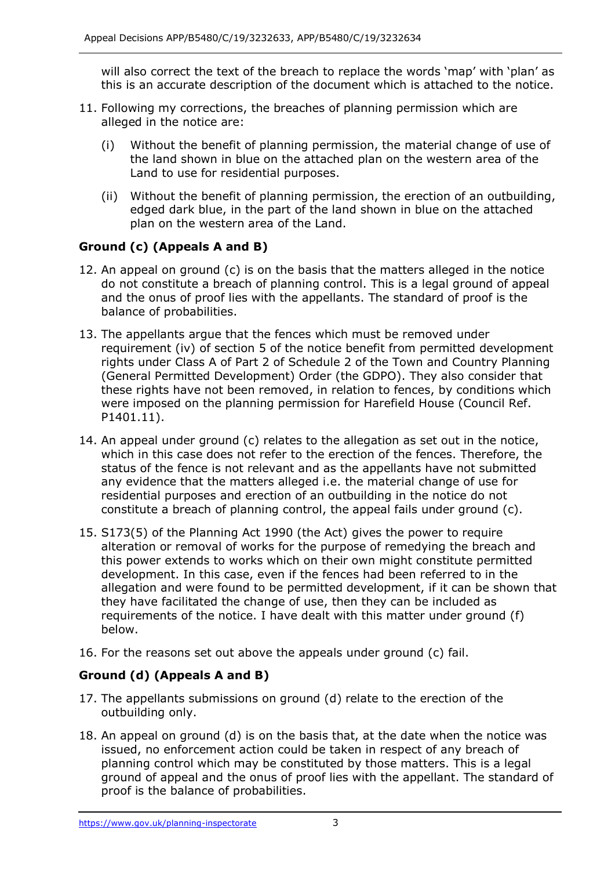will also correct the text of the breach to replace the words 'map' with 'plan' as this is an accurate description of the document which is attached to the notice.

- 11. Following my corrections, the breaches of planning permission which are alleged in the notice are:
	- (i) Without the benefit of planning permission, the material change of use of the land shown in blue on the attached plan on the western area of the Land to use for residential purposes.
	- (ii) Without the benefit of planning permission, the erection of an outbuilding, edged dark blue, in the part of the land shown in blue on the attached plan on the western area of the Land.

# **Ground (c) (Appeals A and B)**

- 12. An appeal on ground (c) is on the basis that the matters alleged in the notice do not constitute a breach of planning control. This is a legal ground of appeal and the onus of proof lies with the appellants. The standard of proof is the balance of probabilities.
- 13. The appellants argue that the fences which must be removed under requirement (iv) of section 5 of the notice benefit from permitted development rights under Class A of Part 2 of Schedule 2 of the Town and Country Planning (General Permitted Development) Order (the GDPO). They also consider that were imposed on the planning permission for Harefield House (Council Ref. these rights have not been removed, in relation to fences, by conditions which P1401.11).
- 14. An appeal under ground (c) relates to the allegation as set out in the notice, which in this case does not refer to the erection of the fences. Therefore, the status of the fence is not relevant and as the appellants have not submitted any evidence that the matters alleged i.e. the material change of use for residential purposes and erection of an outbuilding in the notice do not constitute a breach of planning control, the appeal fails under ground (c).
- 15. S173(5) of the Planning Act 1990 (the Act) gives the power to require alteration or removal of works for the purpose of remedying the breach and development. In this case, even if the fences had been referred to in the allegation and were found to be permitted development, if it can be shown that they have facilitated the change of use, then they can be included as requirements of the notice. I have dealt with this matter under ground (f) this power extends to works which on their own might constitute permitted below.
- 16. For the reasons set out above the appeals under ground (c) fail.

# **Ground (d) (Appeals A and B)**

- 17. The appellants submissions on ground (d) relate to the erection of the outbuilding only.
- 18. An appeal on ground (d) is on the basis that, at the date when the notice was issued, no enforcement action could be taken in respect of any breach of planning control which may be constituted by those matters. This is a legal ground of appeal and the onus of proof lies with the appellant. The standard of proof is the balance of probabilities.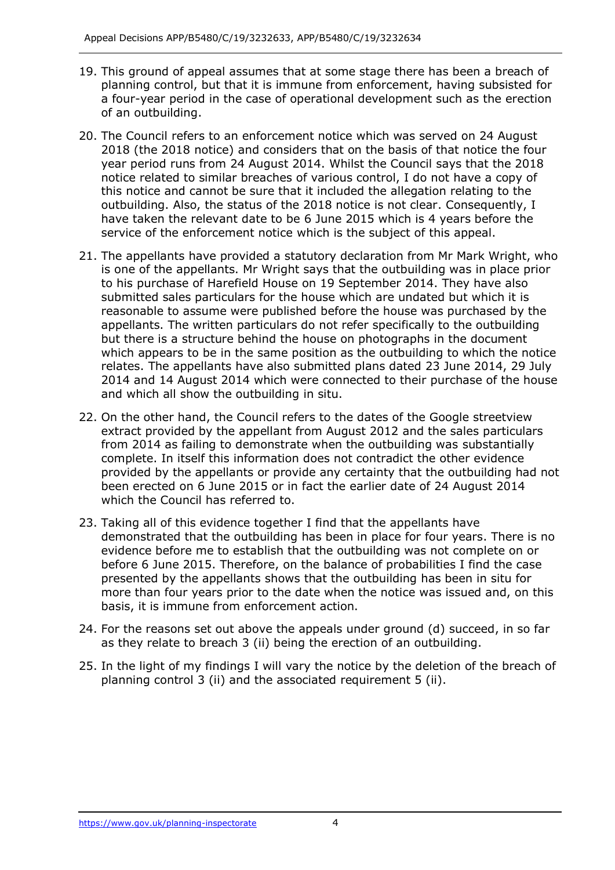- 19. This ground of appeal assumes that at some stage there has been a breach of planning control, but that it is immune from enforcement, having subsisted for a four-year period in the case of operational development such as the erection of an outbuilding.
- 20. The Council refers to an enforcement notice which was served on 24 August 2018 (the 2018 notice) and considers that on the basis of that notice the four year period runs from 24 August 2014. Whilst the Council says that the 2018 notice related to similar breaches of various control, I do not have a copy of this notice and cannot be sure that it included the allegation relating to the outbuilding. Also, the status of the 2018 notice is not clear. Consequently, I have taken the relevant date to be 6 June 2015 which is 4 years before the service of the enforcement notice which is the subject of this appeal.
- 21. The appellants have provided a statutory declaration from Mr Mark Wright, who is one of the appellants. Mr Wright says that the outbuilding was in place prior to his purchase of Harefield House on 19 September 2014. They have also submitted sales particulars for the house which are undated but which it is reasonable to assume were published before the house was purchased by the appellants. The written particulars do not refer specifically to the outbuilding but there is a structure behind the house on photographs in the document which appears to be in the same position as the outbuilding to which the notice relates. The appellants have also submitted plans dated 23 June 2014, 29 July 2014 and 14 August 2014 which were connected to their purchase of the house and which all show the outbuilding in situ.
- 22. On the other hand, the Council refers to the dates of the Google streetview extract provided by the appellant from August 2012 and the sales particulars from 2014 as failing to demonstrate when the outbuilding was substantially provided by the appellants or provide any certainty that the outbuilding had not been erected on 6 June 2015 or in fact the earlier date of 24 August 2014 which the Council has referred to. complete. In itself this information does not contradict the other evidence
- 23. Taking all of this evidence together I find that the appellants have demonstrated that the outbuilding has been in place for four years. There is no evidence before me to establish that the outbuilding was not complete on or before 6 June 2015. Therefore, on the balance of probabilities I find the case presented by the appellants shows that the outbuilding has been in situ for more than four years prior to the date when the notice was issued and, on this basis, it is immune from enforcement action.
- 24. For the reasons set out above the appeals under ground (d) succeed, in so far as they relate to breach 3 (ii) being the erection of an outbuilding.
- 25. In the light of my findings I will vary the notice by the deletion of the breach of planning control 3 (ii) and the associated requirement 5 (ii).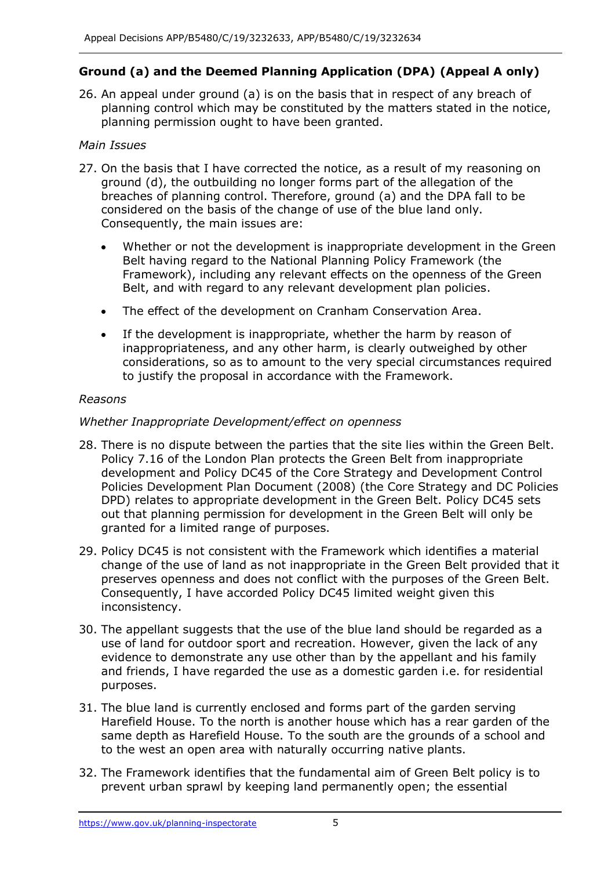# **Ground (a) and the Deemed Planning Application (DPA) (Appeal A only)**

 26. An appeal under ground (a) is on the basis that in respect of any breach of planning control which may be constituted by the matters stated in the notice, planning permission ought to have been granted.

# *Main Issues*

- 27. On the basis that I have corrected the notice, as a result of my reasoning on ground (d), the outbuilding no longer forms part of the allegation of the breaches of planning control. Therefore, ground (a) and the DPA fall to be considered on the basis of the change of use of the blue land only. Consequently, the main issues are:
	- • Whether or not the development is inappropriate development in the Green Belt having regard to the National Planning Policy Framework (the Framework), including any relevant effects on the openness of the Green Belt, and with regard to any relevant development plan policies.
	- The effect of the development on Cranham Conservation Area.
	- • If the development is inappropriate, whether the harm by reason of inappropriateness, and any other harm, is clearly outweighed by other considerations, so as to amount to the very special circumstances required to justify the proposal in accordance with the Framework.

# *Reasons*

# *Whether Inappropriate Development/effect on openness*

- 28. There is no dispute between the parties that the site lies within the Green Belt. Policy 7.16 of the London Plan protects the Green Belt from inappropriate development and Policy DC45 of the Core Strategy and Development Control Policies Development Plan Document (2008) (the Core Strategy and DC Policies DPD) relates to appropriate development in the Green Belt. Policy DC45 sets out that planning permission for development in the Green Belt will only be granted for a limited range of purposes.
- 29. Policy DC45 is not consistent with the Framework which identifies a material change of the use of land as not inappropriate in the Green Belt provided that it preserves openness and does not conflict with the purposes of the Green Belt. Consequently, I have accorded Policy DC45 limited weight given this inconsistency.
- 30. The appellant suggests that the use of the blue land should be regarded as a use of land for outdoor sport and recreation. However, given the lack of any evidence to demonstrate any use other than by the appellant and his family and friends, I have regarded the use as a domestic garden i.e. for residential purposes.
- 31. The blue land is currently enclosed and forms part of the garden serving Harefield House. To the north is another house which has a rear garden of the same depth as Harefield House. To the south are the grounds of a school and to the west an open area with naturally occurring native plants.
- 32. The Framework identifies that the fundamental aim of Green Belt policy is to prevent urban sprawl by keeping land permanently open; the essential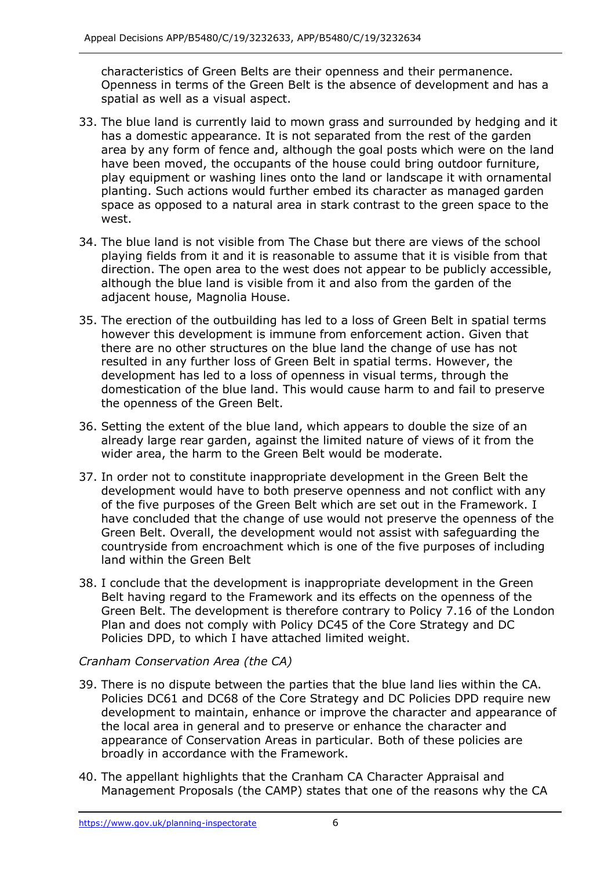characteristics of Green Belts are their openness and their permanence. Openness in terms of the Green Belt is the absence of development and has a spatial as well as a visual aspect.

- 33. The blue land is currently laid to mown grass and surrounded by hedging and it has a domestic appearance. It is not separated from the rest of the garden area by any form of fence and, although the goal posts which were on the land have been moved, the occupants of the house could bring outdoor furniture, play equipment or washing lines onto the land or landscape it with ornamental planting. Such actions would further embed its character as managed garden space as opposed to a natural area in stark contrast to the green space to the west.
- 34. The blue land is not visible from The Chase but there are views of the school playing fields from it and it is reasonable to assume that it is visible from that direction. The open area to the west does not appear to be publicly accessible, although the blue land is visible from it and also from the garden of the adjacent house, Magnolia House.
- 35. The erection of the outbuilding has led to a loss of Green Belt in spatial terms however this development is immune from enforcement action. Given that there are no other structures on the blue land the change of use has not resulted in any further loss of Green Belt in spatial terms. However, the development has led to a loss of openness in visual terms, through the domestication of the blue land. This would cause harm to and fail to preserve the openness of the Green Belt.
- 36. Setting the extent of the blue land, which appears to double the size of an already large rear garden, against the limited nature of views of it from the wider area, the harm to the Green Belt would be moderate.
- 37. In order not to constitute inappropriate development in the Green Belt the development would have to both preserve openness and not conflict with any of the five purposes of the Green Belt which are set out in the Framework. I have concluded that the change of use would not preserve the openness of the Green Belt. Overall, the development would not assist with safeguarding the countryside from encroachment which is one of the five purposes of including land within the Green Belt
- 38. I conclude that the development is inappropriate development in the Green Belt having regard to the Framework and its effects on the openness of the Green Belt. The development is therefore contrary to Policy 7.16 of the London Plan and does not comply with Policy DC45 of the Core Strategy and DC Policies DPD, to which I have attached limited weight.

#### *Cranham Conservation Area (the CA)*

- 39. There is no dispute between the parties that the blue land lies within the CA. Policies DC61 and DC68 of the Core Strategy and DC Policies DPD require new development to maintain, enhance or improve the character and appearance of the local area in general and to preserve or enhance the character and appearance of Conservation Areas in particular. Both of these policies are broadly in accordance with the Framework.
- 40. The appellant highlights that the Cranham CA Character Appraisal and Management Proposals (the CAMP) states that one of the reasons why the CA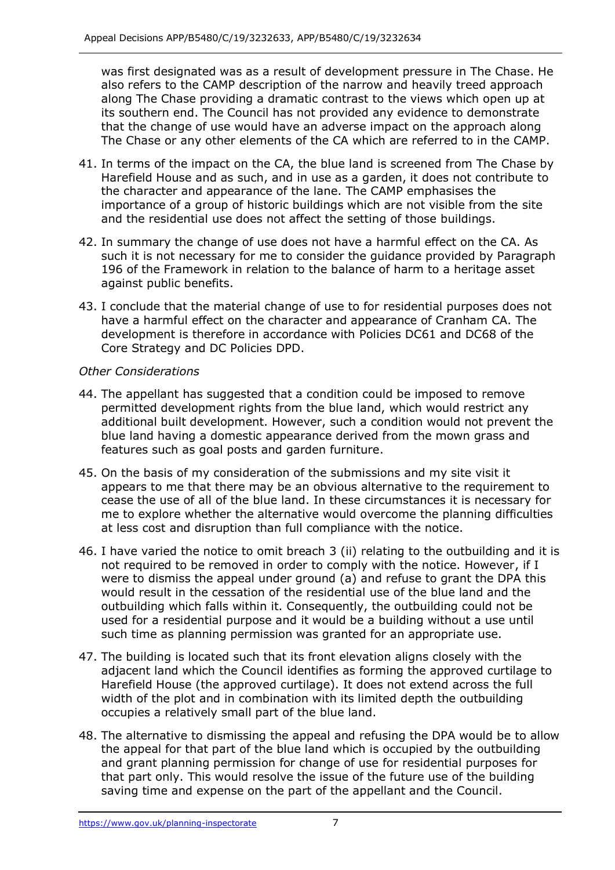was first designated was as a result of development pressure in The Chase. He also refers to the CAMP description of the narrow and heavily treed approach along The Chase providing a dramatic contrast to the views which open up at its southern end. The Council has not provided any evidence to demonstrate that the change of use would have an adverse impact on the approach along The Chase or any other elements of the CA which are referred to in the CAMP.

- 41. In terms of the impact on the CA, the blue land is screened from The Chase by Harefield House and as such, and in use as a garden, it does not contribute to the character and appearance of the lane. The CAMP emphasises the importance of a group of historic buildings which are not visible from the site and the residential use does not affect the setting of those buildings.
- 42. In summary the change of use does not have a harmful effect on the CA. As such it is not necessary for me to consider the guidance provided by Paragraph 196 of the Framework in relation to the balance of harm to a heritage asset against public benefits.
- 43. I conclude that the material change of use to for residential purposes does not have a harmful effect on the character and appearance of Cranham CA. The development is therefore in accordance with Policies DC61 and DC68 of the Core Strategy and DC Policies DPD.

### *Other Considerations*

- 44. The appellant has suggested that a condition could be imposed to remove blue land having a domestic appearance derived from the mown grass and features such as goal posts and garden furniture. permitted development rights from the blue land, which would restrict any additional built development. However, such a condition would not prevent the
- 45. On the basis of my consideration of the submissions and my site visit it appears to me that there may be an obvious alternative to the requirement to cease the use of all of the blue land. In these circumstances it is necessary for me to explore whether the alternative would overcome the planning difficulties at less cost and disruption than full compliance with the notice.
- 46. I have varied the notice to omit breach 3 (ii) relating to the outbuilding and it is not required to be removed in order to comply with the notice. However, if I were to dismiss the appeal under ground (a) and refuse to grant the DPA this would result in the cessation of the residential use of the blue land and the outbuilding which falls within it. Consequently, the outbuilding could not be used for a residential purpose and it would be a building without a use until such time as planning permission was granted for an appropriate use.
- 47. The building is located such that its front elevation aligns closely with the adjacent land which the Council identifies as forming the approved curtilage to Harefield House (the approved curtilage). It does not extend across the full width of the plot and in combination with its limited depth the outbuilding occupies a relatively small part of the blue land.
- 48. The alternative to dismissing the appeal and refusing the DPA would be to allow the appeal for that part of the blue land which is occupied by the outbuilding and grant planning permission for change of use for residential purposes for that part only. This would resolve the issue of the future use of the building saving time and expense on the part of the appellant and the Council.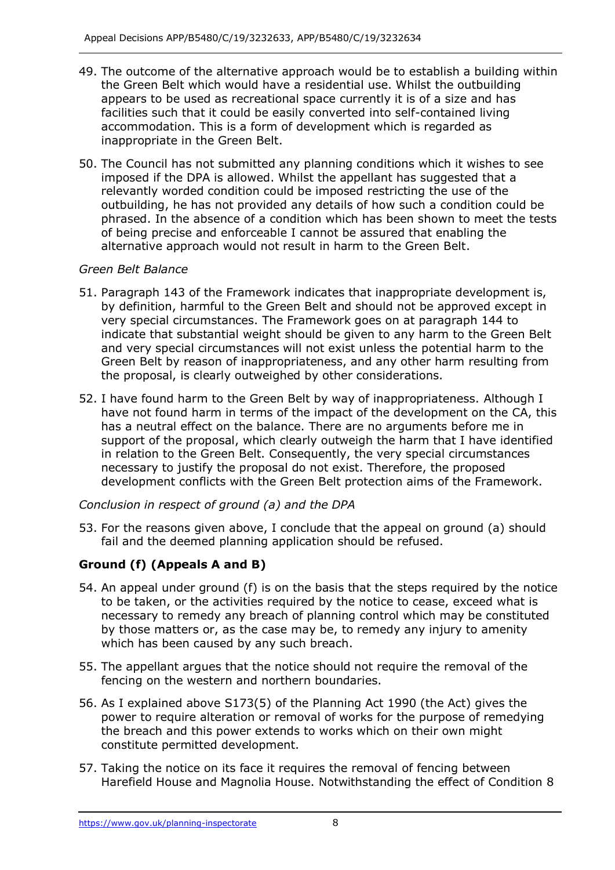- 49. The outcome of the alternative approach would be to establish a building within the Green Belt which would have a residential use. Whilst the outbuilding appears to be used as recreational space currently it is of a size and has facilities such that it could be easily converted into self-contained living accommodation. This is a form of development which is regarded as inappropriate in the Green Belt.
- 50. The Council has not submitted any planning conditions which it wishes to see imposed if the DPA is allowed. Whilst the appellant has suggested that a relevantly worded condition could be imposed restricting the use of the outbuilding, he has not provided any details of how such a condition could be phrased. In the absence of a condition which has been shown to meet the tests of being precise and enforceable I cannot be assured that enabling the alternative approach would not result in harm to the Green Belt.

# *Green Belt Balance*

- 51. Paragraph 143 of the Framework indicates that inappropriate development is, by definition, harmful to the Green Belt and should not be approved except in very special circumstances. The Framework goes on at paragraph 144 to indicate that substantial weight should be given to any harm to the Green Belt and very special circumstances will not exist unless the potential harm to the Green Belt by reason of inappropriateness, and any other harm resulting from the proposal, is clearly outweighed by other considerations.
- 52. I have found harm to the Green Belt by way of inappropriateness. Although I have not found harm in terms of the impact of the development on the CA, this has a neutral effect on the balance. There are no arguments before me in support of the proposal, which clearly outweigh the harm that I have identified in relation to the Green Belt. Consequently, the very special circumstances necessary to justify the proposal do not exist. Therefore, the proposed development conflicts with the Green Belt protection aims of the Framework.

# *Conclusion in respect of ground (a) and the DPA*

 53. For the reasons given above, I conclude that the appeal on ground (a) should fail and the deemed planning application should be refused.

# **Ground (f) (Appeals A and B)**

- 54. An appeal under ground (f) is on the basis that the steps required by the notice to be taken, or the activities required by the notice to cease, exceed what is necessary to remedy any breach of planning control which may be constituted by those matters or, as the case may be, to remedy any injury to amenity which has been caused by any such breach.
- 55. The appellant argues that the notice should not require the removal of the fencing on the western and northern boundaries.
- 56. As I explained above S173(5) of the Planning Act 1990 (the Act) gives the power to require alteration or removal of works for the purpose of remedying constitute permitted development. the breach and this power extends to works which on their own might
- 57. Taking the notice on its face it requires the removal of fencing between Harefield House and Magnolia House. Notwithstanding the effect of Condition 8